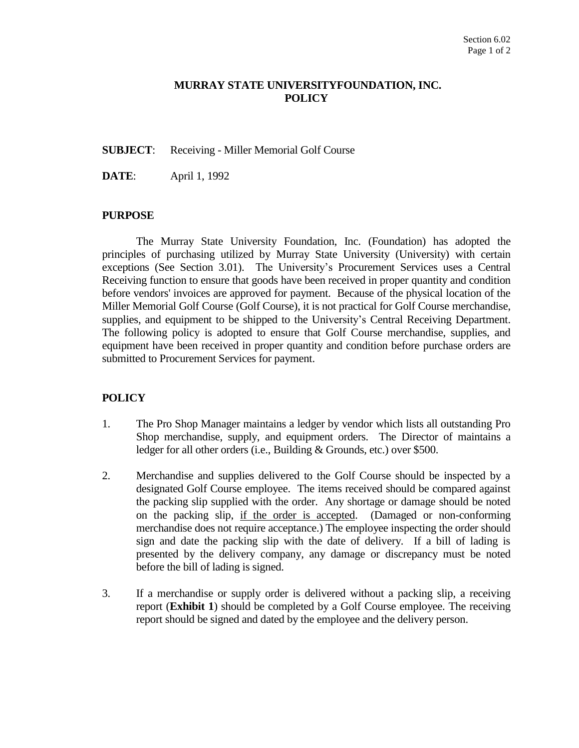## **MURRAY STATE UNIVERSITYFOUNDATION, INC. POLICY**

### **SUBJECT**: Receiving - Miller Memorial Golf Course

**DATE**: April 1, 1992

#### **PURPOSE**

The Murray State University Foundation, Inc. (Foundation) has adopted the principles of purchasing utilized by Murray State University (University) with certain exceptions (See Section 3.01). The University's Procurement Services uses a Central Receiving function to ensure that goods have been received in proper quantity and condition before vendors' invoices are approved for payment. Because of the physical location of the Miller Memorial Golf Course (Golf Course), it is not practical for Golf Course merchandise, supplies, and equipment to be shipped to the University's Central Receiving Department. The following policy is adopted to ensure that Golf Course merchandise, supplies, and equipment have been received in proper quantity and condition before purchase orders are submitted to Procurement Services for payment.

## **POLICY**

- 1. The Pro Shop Manager maintains a ledger by vendor which lists all outstanding Pro Shop merchandise, supply, and equipment orders. The Director of maintains a ledger for all other orders (i.e., Building & Grounds, etc.) over \$500.
- 2. Merchandise and supplies delivered to the Golf Course should be inspected by a designated Golf Course employee. The items received should be compared against the packing slip supplied with the order. Any shortage or damage should be noted on the packing slip, if the order is accepted. (Damaged or non-conforming merchandise does not require acceptance.) The employee inspecting the order should sign and date the packing slip with the date of delivery. If a bill of lading is presented by the delivery company, any damage or discrepancy must be noted before the bill of lading is signed.
- 3. If a merchandise or supply order is delivered without a packing slip, a receiving report (**Exhibit 1**) should be completed by a Golf Course employee. The receiving report should be signed and dated by the employee and the delivery person.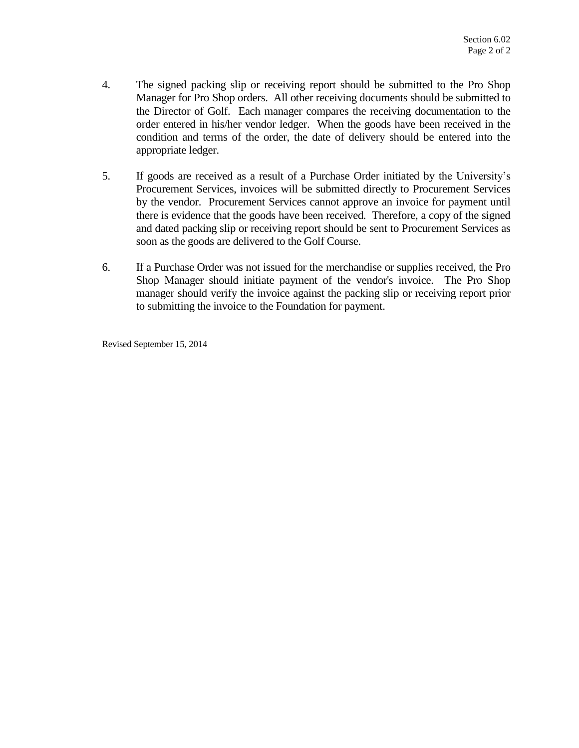- 4. The signed packing slip or receiving report should be submitted to the Pro Shop Manager for Pro Shop orders. All other receiving documents should be submitted to the Director of Golf. Each manager compares the receiving documentation to the order entered in his/her vendor ledger. When the goods have been received in the condition and terms of the order, the date of delivery should be entered into the appropriate ledger.
- 5. If goods are received as a result of a Purchase Order initiated by the University's Procurement Services, invoices will be submitted directly to Procurement Services by the vendor. Procurement Services cannot approve an invoice for payment until there is evidence that the goods have been received. Therefore, a copy of the signed and dated packing slip or receiving report should be sent to Procurement Services as soon as the goods are delivered to the Golf Course.
- 6. If a Purchase Order was not issued for the merchandise or supplies received, the Pro Shop Manager should initiate payment of the vendor's invoice. The Pro Shop manager should verify the invoice against the packing slip or receiving report prior to submitting the invoice to the Foundation for payment.

Revised September 15, 2014